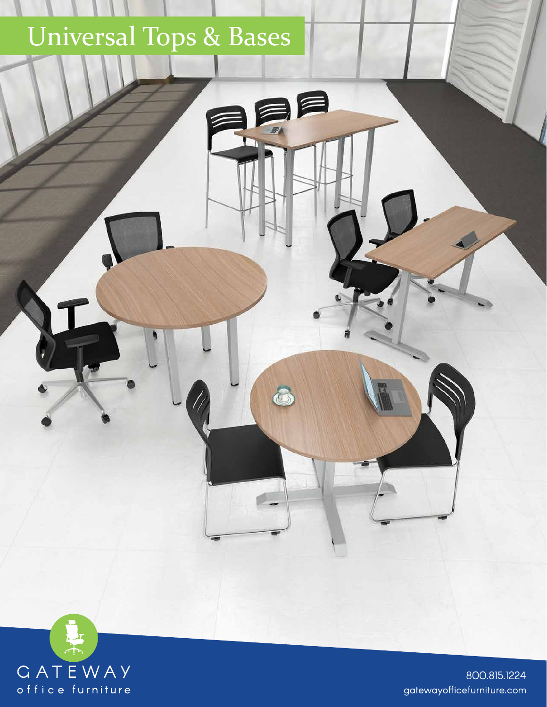## Universal Tops & Bases

**RE** 



gatewayofficefurniture.com 800.815.1224